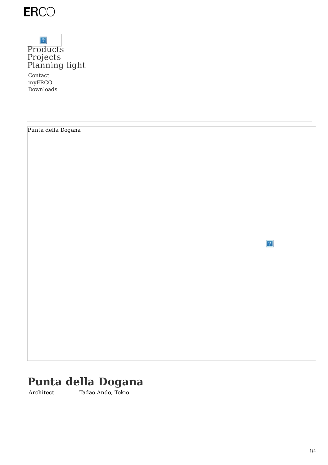

# $|\mathcal{P}|$ [Products](https://www.erco.com/en_us/products/products-7293/) [Projects](https://www.erco.com/en_us/projects/projects-7292/) [Planning](https://www.erco.com/en_us/designing-with-light/designing-with-light-7294/) light

Punta della Dogana

Contact myERCO Downloads

 $|\mathcal{P}|$ 

# **Punta della Dogana**

Architect Tadao Ando, Tokio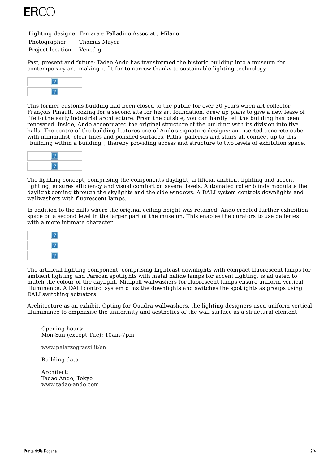

Lighting designer Ferrara e Palladino Associati, Milano

Photographer Thomas Mayer Project location Venedig

Past, present and future: Tadao Ando has transformed the historic building into a museum for contemporary art, making it fit for tomorrow thanks to sustainable lighting technology.



This former customs building had been closed to the public for over 30 years when art collector François Pinault, looking for a second site for his art foundation, drew up plans to give a new lease of life to the early industrial architecture. From the outside, you can hardly tell the building has been renovated. Inside, Ando accentuated the original structure of the building with its division into five halls. The centre of the building features one of Ando's signature designs: an inserted concrete cube with minimalist, clear lines and polished surfaces. Paths, galleries and stairs all connect up to this "building within a building", thereby providing access and structure to two levels of exhibition space.



The lighting concept, comprising the components daylight, artificial ambient lighting and accent lighting, ensures efficiency and visual comfort on several levels. Automated roller blinds modulate the daylight coming through the skylights and the side windows. A DALI system controls downlights and wallwashers with fluorescent lamps.

In addition to the halls where the original ceiling height was retained, Ando created further exhibition space on a second level in the larger part of the museum. This enables the curators to use galleries with a more intimate character.



The artificial lighting component, comprising Lightcast downlights with compact fluorescent lamps for ambient lighting and Parscan spotlights with metal halide lamps for accent lighting, is adjusted to match the colour of the daylight. Midipoll wallwashers for fluorescent lamps ensure uniform vertical illuminance. A DALI control system dims the downlights and switches the spotlights as groups using DALI switching actuators.

Architecture as an exhibit. Opting for Quadra wallwashers, the lighting designers used uniform vertical illuminance to emphasise the uniformity and aesthetics of the wall surface as a structural element

Opening hours: Mon-Sun (except Tue): 10am-7pm

[www.palazzograssi.it/en](https://www.palazzograssi.it/en)

Building data

Architect: Tadao Ando, Tokyo [www.tadao-ando.com](https://www.tadao-ando.com/)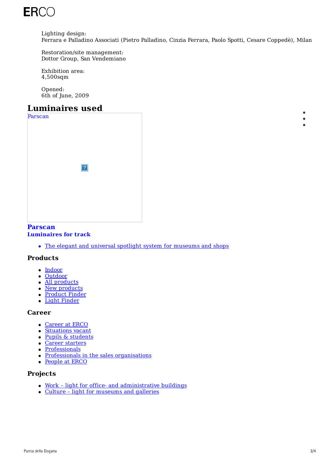

Lighting design: Ferrara e Palladino Associati (Pietro Palladino, Cinzia Ferrara, Paolo Spotti, Cesare Coppedè), Milan

Restoration/site management: Dottor Group, San Vendemiano

Exhibition area: 4,500sqm

Opened: 6th of June, 2009

# **Luminaires used**

| Parscan |            |  |
|---------|------------|--|
|         |            |  |
|         | $\sqrt{2}$ |  |
|         |            |  |

# **Parscan**

#### **[Luminaires](https://www.erco.com/en_us/products/indoor/luminaires-for-track/parscan-1473/) for track**

• The elegant and universal spotlight system for museums and shops

### **Products**

- [Indoor](https://www.erco.com/en_us/products/indoor/overview-5760/)
- [Outdoor](https://www.erco.com/en_us/products/outdoor/overview-5764/)
- All [products](https://www.erco.com/en_us/products/products-6202/)
- New [products](https://www.erco.com/en_us/projects/focus/products/new-products-2022-1-7358/) • [Product](https://www.erco.com/en_us/products/product-finder-7093/) Finder
- Light [Finder](https://www.erco.com/en_us/products/light-finder-7133/)

#### **Career**

- [Career](https://www.erco.com/en_us/career/career-at-erco-7019/) at ERCO
- [Situations](https://www.erco.com/en_us/career/situations-vacant-7032/) vacant
- Pupils & [students](https://www.erco.com/en_us/career/pupils-students/vocational-training-and-dual-studies-7020/)
- Career [starters](https://www.erco.com/en_us/career/career-at-erco/career-starters-7016/)
- [Professionals](https://www.erco.com/en_us/career/career-at-erco/professionals-7017/)
- Professionals in the sales [organisations](https://www.erco.com/en_us/career/career-at-erco/professionals-in-the-sales-organisations-7018/)
- [People](https://www.erco.com/en_us/career/people-at-erco-7021/) at ERCO

### **Projects**

- Work light for office- and [administrative](https://www.erco.com/en_us/projects/projects-6200/?filter=work) buildings
- Culture light for [museums](https://www.erco.com/en_us/projects/projects-6200/?filter=culture) and galleries

 $\bullet$  $\bullet$  $\bullet$